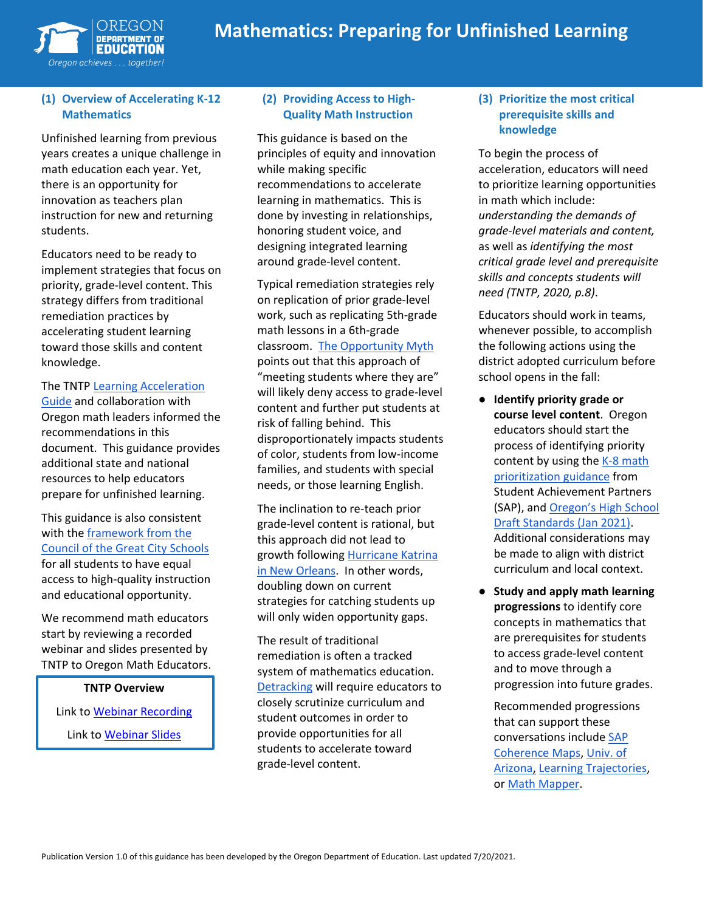

# **Mathematics: Preparing for Unfinished Learning**

#### **(1) Overview of Accelerating K-12 Mathematics**

Unfinished learning from previous years creates a unique challenge in math education each year. Yet, there is an opportunity for innovation as teachers plan instruction for new and returning students.

Educators need to be ready to implement strategies that focus on priority, grade-level content. This strategy differs from traditional remediation practices by accelerating student learning toward those skills and content knowledge.

#### The TNTP [Learning Acceleration](https://tntp.org/assets/covid-19-toolkit-resources/TNTP_Learning_Acceleration_Guide.pdf)

[Guide](https://tntp.org/assets/covid-19-toolkit-resources/TNTP_Learning_Acceleration_Guide.pdf) and collaboration with Oregon math leaders informed the recommendations in this document. This guidance provides additional state and national resources to help educators prepare for unfinished learning.

This guidance is also consistent with the [framework from the](https://www.cgcs.org/cms/lib/DC00001581/Centricity/Domain/313/CGCS_Unfinished%20Learning.pdf)  [Council of the Great City Schools](https://www.cgcs.org/cms/lib/DC00001581/Centricity/Domain/313/CGCS_Unfinished%20Learning.pdf) for all students to have equal access to high-quality instruction and educational opportunity.

We recommend math educators start by reviewing a recorded webinar and slides presented by TNTP to Oregon Math Educators.

#### **TNTP Overview**

Link to [Webinar Recording](https://zoom.us/rec/play/6JUsJO-o_2o3G9LDtQSDVPRxW9S9KPqshyYd-vtbzU3mBXALYwLyYbcRZrZS3Ss9Jt2ARvThncW_bAoN?continueMode=true&_x_zm_rtaid=Ga1gVfPGQ5Cw72y1vygm5Q.1590996844178.f9418ad68e5a7149f06b3ce085b21bfc&_x_zm_rhtaid=655)

Link to [Webinar Slides](https://drive.google.com/file/d/1egGmV18Sx_db8mUaVM-k4gZ4cuVZA_Mw/view)

## **(2) Providing Access to High-Quality Math Instruction**

This guidance is based on the principles of equity and innovation while making specific recommendations to accelerate learning in mathematics. This is done by investing in relationships, honoring student voice, and designing integrated learning around grade-level content.

Typical remediation strategies rely on replication of prior grade-level work, such as replicating 5th-grade math lessons in a 6th-grade classroom. [The Opportunity Myth](https://tntp.org/publications/view/student-experiences/the-opportunity-myth) points out that this approach of "meeting students where they are" will likely deny access to grade-level content and further put students at risk of falling behind. This disproportionately impacts students of color, students from low-income families, and students with special needs, or those learning English.

The inclination to re-teach prior grade-level content is rational, but this approach did not lead to growth following [Hurricane Katrina](https://www.crpe.org/thelens/what-post-katrina-new-orleans-can-teach-schools-about-addressing-covid-learning-losses)  [in New Orleans.](https://www.crpe.org/thelens/what-post-katrina-new-orleans-can-teach-schools-about-addressing-covid-learning-losses) In other words, doubling down on current strategies for catching students up will only widen opportunity gaps.

The result of traditional remediation is often a tracked system of mathematics education. [Detracking](https://www.mathedleadership.org/docs/resources/positionpapers/NCSMPositionPaper19.pdf) will require educators to closely scrutinize curriculum and student outcomes in order to provide opportunities for all students to accelerate toward grade-level content.

#### **(3) Prioritize the most critical prerequisite skills and knowledge**

To begin the process of acceleration, educators will need to prioritize learning opportunities in math which include: *understanding the demands of grade-level materials and content,* as well as *identifying the most critical grade level and prerequisite skills and concepts students will need (TNTP, 2020, p.8)*.

Educators should work in teams, whenever possible, to accomplish the following actions using the district adopted curriculum before school opens in the fall:

- **Identify priority grade or course level content**. Oregon educators should start the process of identifying priority content by using the K-8 math [prioritization guidance](https://achievethecore.org/page/3267/2020-21-priority-instructional-content-in-english-language-arts-literacy-and-mathematics) from Student Achievement Partners (SAP), and [Oregon's High School](https://www.oregon.gov/ode/educator-resources/standards/mathematics/Documents/Draft%20Math%20Standards/2021.01%20High%20School_Version%203.4%20(Accessible).pdf)  [Draft Standards](https://www.oregon.gov/ode/educator-resources/standards/mathematics/Documents/Draft%20Math%20Standards/2021.01%20High%20School_Version%203.4%20(Accessible).pdf) (Jan 2021). Additional considerations may be made to align with district curriculum and local context.
- **Study and apply math learning progressions** to identify core concepts in mathematics that are prerequisites for students to access grade-level content and to move through a progression into future grades.

Recommended progressions that can support these conversations includ[e SAP](https://achievethecore.org/coherence-map/)  [Coherence Maps,](https://achievethecore.org/coherence-map/) [Univ. of](http://ime.math.arizona.edu/progressions/)  [Arizona,](http://ime.math.arizona.edu/progressions/) [Learning Trajectories,](https://learningtrajectories.org/index.php/pages/home) or [Math Mapper.](https://www.sudds.co/)